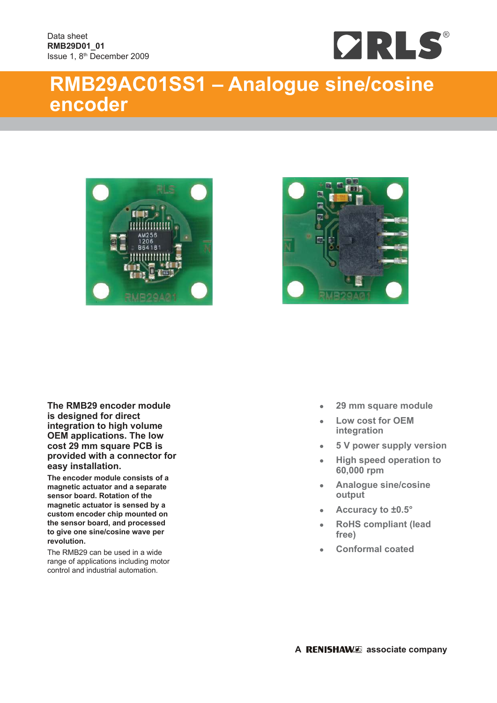

# **RMB29AC01SS1 – Analogue sine/cosine encoder**





**The RMB29 encoder module is designed for direct integration to high volume OEM applications. The low cost 29 mm square PCB is provided with a connector for easy installation.**

**The encoder module consists of a magnetic actuator and a separate sensor board. Rotation of the magnetic actuator is sensed by a custom encoder chip mounted on the sensor board, and processed to give one sine/cosine wave per revolution.**

The RMB29 can be used in a wide range of applications including motor control and industrial automation.

- **29 mm square module**
- **Low cost for OEM integration**
- **5 V power supply version**
- **High speed operation to 60,000 rpm**
- **Analogue sine/cosine output**
- **Accuracy to ±0.5°**
- **RoHS compliant (lead free)**
- **Conformal coated**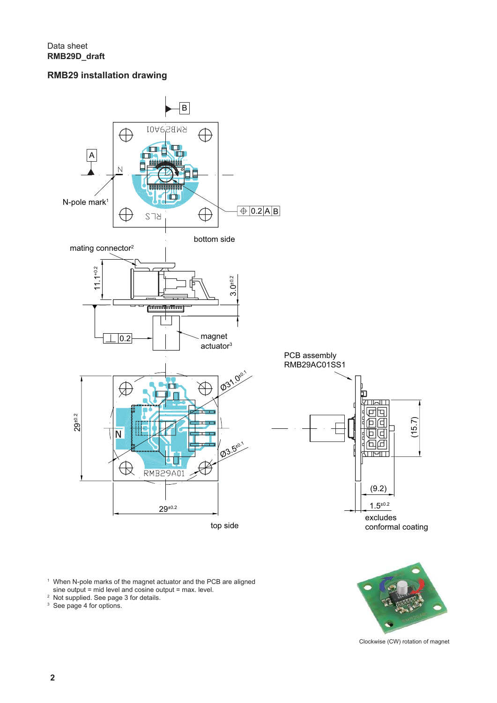# **RMB29 installation drawing**



Clockwise (CW) rotation of magnet

<sup>1</sup> When N-pole marks of the magnet actuator and the PCB are aligned sine output = mid level and cosine output = max. level.

2 Not supplied. See page 3 for details. 3 See page 4 for options.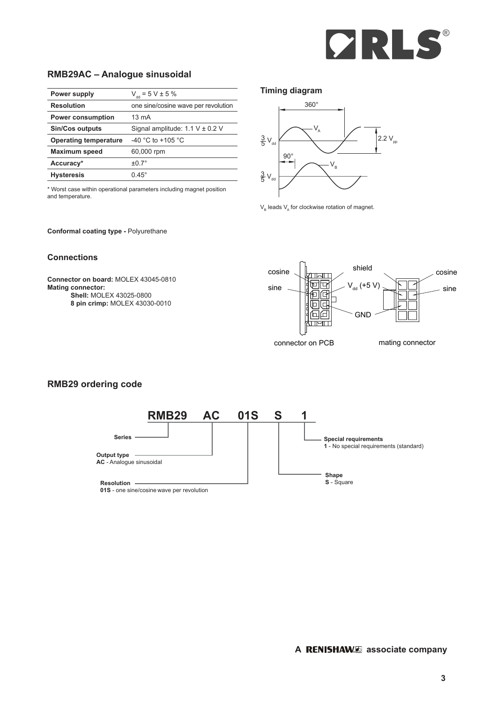

# **RMB29AC – Analogue sinusoidal**

| Power supply                 | $V_{dd} = 5 V \pm 5 \%$             |
|------------------------------|-------------------------------------|
| <b>Resolution</b>            | one sine/cosine wave per revolution |
| <b>Power consumption</b>     | $13 \text{ mA}$                     |
| <b>Sin/Cos outputs</b>       | Signal amplitude: $1.1 V \pm 0.2 V$ |
| <b>Operating temperature</b> | -40 °C to +105 °C                   |
| <b>Maximum speed</b>         | 60,000 rpm                          |
| Accuracy*                    | $+0.7^\circ$                        |
| <b>Hysteresis</b>            | $0.45^{\circ}$                      |

\* Worst case within operational parameters including magnet position and temperature.

**Conformal coating type -** Polyurethane

#### **Connections**

**Connector on board:** MOLEX 43045-0810 **Mating connector: Shell:** MOLEX 43025-0800 **8 pin crimp:** MOLEX 43030-0010





 $V_{\rm B}$  leads  $V_{\rm A}$  for clockwise rotation of magnet.



## **RMB29 ordering code**

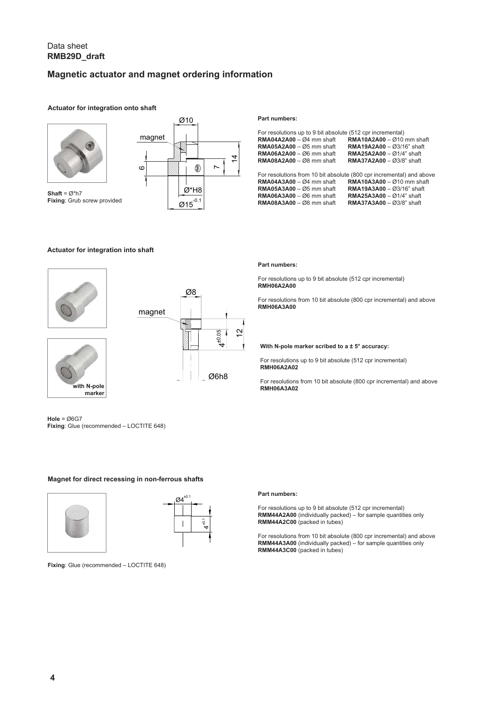## Data sheet **RMB29D\_draft**

# **Magnetic actuator and magnet ordering information**

#### **Actuator for integration onto shaft**



**Shaft** = Ø\*h7 **Fixing**: Grub screw provided



#### **Actuator for integration into shaft**





**Hole** = Ø6G7 **Fixing**: Glue (recommended – LOCTITE 648)

**with N-pole marker**

### **Magnet for direct recessing in non-ferrous shafts**





**Fixing**: Glue (recommended – LOCTITE 648)

#### **Part numbers:**

| For resolutions up to 9 bit absolute (512 cpr incremental)<br>$RMA04A2A00 - 0.4$ mm shaft<br>$RMA05A2A00 - \varnothing5$ mm shaft<br>$RMA06A2A00 - \varnothing6$ mm shaft<br>$RMA08A2A00 - \varnothing8$ mm shaft | $RMA10A2A00 - Q10$ mm shaft<br><b>RMA19A2A00</b> - $\emptyset$ 3/16" shaft<br><b>RMA25A2A00 - <math>\varnothing</math>1/4" shaft</b><br><b>RMA37A2A00 - <math>\varnothing</math>3/8" shaft</b>                                                                         |
|-------------------------------------------------------------------------------------------------------------------------------------------------------------------------------------------------------------------|------------------------------------------------------------------------------------------------------------------------------------------------------------------------------------------------------------------------------------------------------------------------|
| $RMA04A3A00 - Q4$ mm shaft<br>$RMA05A3A00 - 0.5$ mm shaft<br>$RMA06A3A00 - \varnothing6$ mm shaft<br>$RMA08A3A00 - \varnothing8$ mm shaft                                                                         | For resolutions from 10 bit absolute (800 cpr incremental) and above<br>$RMA10A3A00 - Q10$ mm shaft<br><b>RMA19A3A00</b> - $\emptyset$ 3/16" shaft<br><b>RMA25A3A00 - <math>\varnothing</math>1/4" shaft</b><br><b>RMA37A3A00 - <math>\varnothing</math>3/8" shaft</b> |

#### **Part numbers:**

For resolutions up to 9 bit absolute (512 cpr incremental) **RMH06A2A00**

For resolutions from 10 bit absolute (800 cpr incremental) and above **RMH06A3A00**

#### **With N-pole marker scribed to a ± 5° accuracy:**

For resolutions up to 9 bit absolute (512 cpr incremental) **RMH06A2A02**

For resolutions from 10 bit absolute (800 cpr incremental) and above **RMH06A3A02**

#### **Part numbers:**

For resolutions up to 9 bit absolute (512 cpr incremental) **RMM44A2A00** (individually packed) – for sample quantities only **RMM44A2C00** (packed in tubes)

For resolutions from 10 bit absolute (800 cpr incremental) and above **RMM44A3A00** (individually packed) – for sample quantities only **RMM44A3C00** (packed in tubes)